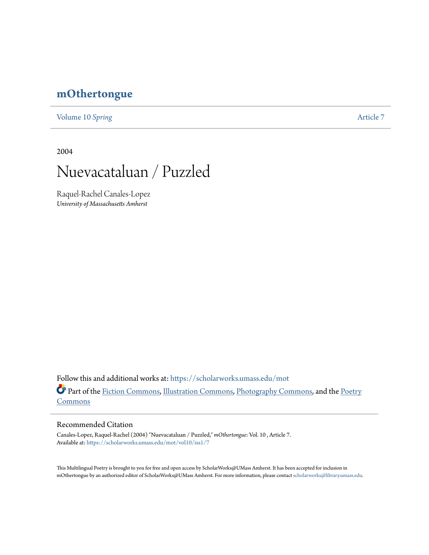# **[mOthertongue](https://scholarworks.umass.edu/mot?utm_source=scholarworks.umass.edu%2Fmot%2Fvol10%2Fiss1%2F7&utm_medium=PDF&utm_campaign=PDFCoverPages)**

[Volume 10](https://scholarworks.umass.edu/mot/vol10?utm_source=scholarworks.umass.edu%2Fmot%2Fvol10%2Fiss1%2F7&utm_medium=PDF&utm_campaign=PDFCoverPages) *Spring* [Article 7](https://scholarworks.umass.edu/mot/vol10/iss1/7?utm_source=scholarworks.umass.edu%2Fmot%2Fvol10%2Fiss1%2F7&utm_medium=PDF&utm_campaign=PDFCoverPages)

2004



Raquel-Rachel Canales-Lopez *University of Massachusetts Amherst*

Follow this and additional works at: [https://scholarworks.umass.edu/mot](https://scholarworks.umass.edu/mot?utm_source=scholarworks.umass.edu%2Fmot%2Fvol10%2Fiss1%2F7&utm_medium=PDF&utm_campaign=PDFCoverPages) Part of the [Fiction Commons](http://network.bepress.com/hgg/discipline/1151?utm_source=scholarworks.umass.edu%2Fmot%2Fvol10%2Fiss1%2F7&utm_medium=PDF&utm_campaign=PDFCoverPages), [Illustration Commons,](http://network.bepress.com/hgg/discipline/1135?utm_source=scholarworks.umass.edu%2Fmot%2Fvol10%2Fiss1%2F7&utm_medium=PDF&utm_campaign=PDFCoverPages) [Photography Commons,](http://network.bepress.com/hgg/discipline/1142?utm_source=scholarworks.umass.edu%2Fmot%2Fvol10%2Fiss1%2F7&utm_medium=PDF&utm_campaign=PDFCoverPages) and the [Poetry](http://network.bepress.com/hgg/discipline/1153?utm_source=scholarworks.umass.edu%2Fmot%2Fvol10%2Fiss1%2F7&utm_medium=PDF&utm_campaign=PDFCoverPages) **[Commons](http://network.bepress.com/hgg/discipline/1153?utm_source=scholarworks.umass.edu%2Fmot%2Fvol10%2Fiss1%2F7&utm_medium=PDF&utm_campaign=PDFCoverPages)** 

#### Recommended Citation

Canales-Lopez, Raquel-Rachel (2004) "Nuevacataluan / Puzzled," *mOthertongue*: Vol. 10 , Article 7. Available at: [https://scholarworks.umass.edu/mot/vol10/iss1/7](https://scholarworks.umass.edu/mot/vol10/iss1/7?utm_source=scholarworks.umass.edu%2Fmot%2Fvol10%2Fiss1%2F7&utm_medium=PDF&utm_campaign=PDFCoverPages)

This Multilingual Poetry is brought to you for free and open access by ScholarWorks@UMass Amherst. It has been accepted for inclusion in mOthertongue by an authorized editor of ScholarWorks@UMass Amherst. For more information, please contact [scholarworks@library.umass.edu](mailto:scholarworks@library.umass.edu).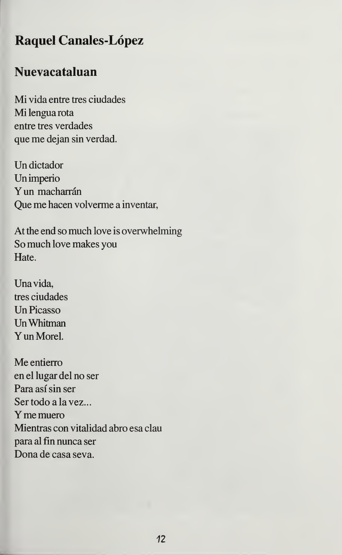## Raquel Canales-Lopez

### Nuevacataluan

Mi vida entre tres ciudades Mi lengua rota entre tres verdades que me dejan sin verdad.

Un dictador Un imperio Yun macharrán Que me hacen volverme a inventar,

At the end so much love is overwhelming So much love makes you Hate.

Una vida, tres ciudades Un Picasso UnWhitman Yun Morel.

Me entierro en el lugar del no ser Para así sin ser Ser todo a la vez... Ymemuero Mientras con vitalidad abro esa clau para al fin nunca ser Dona de casa seva.